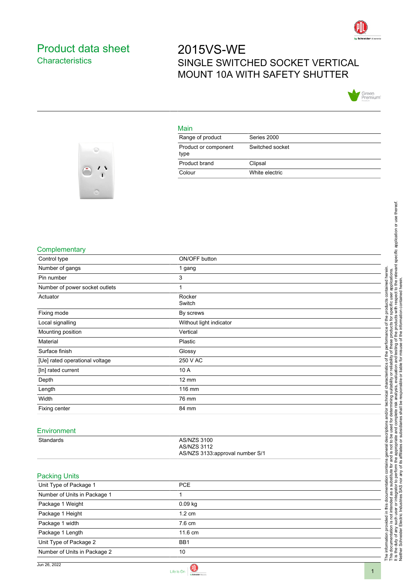

## <span id="page-0-0"></span>Product data sheet **Characteristics**

# 2015VS-WE SINGLE SWITCHED SOCKET VERTICAL MOUNT 10A WITH SAFETY SHUTTER



#### Main

| Range of product             | Series 2000     |
|------------------------------|-----------------|
| Product or component<br>type | Switched socket |
| Product brand                | Clipsal         |
| Colour                       | White electric  |



#### **Complementary**

| Complementary                  |                                 |                                                                                                                                                                                                                                  |
|--------------------------------|---------------------------------|----------------------------------------------------------------------------------------------------------------------------------------------------------------------------------------------------------------------------------|
| Control type                   | ON/OFF button                   |                                                                                                                                                                                                                                  |
| Number of gangs                | 1 gang                          |                                                                                                                                                                                                                                  |
| Pin number                     | 3                               |                                                                                                                                                                                                                                  |
| Number of power socket outlets | 1                               |                                                                                                                                                                                                                                  |
| Actuator                       | Rocker                          |                                                                                                                                                                                                                                  |
|                                | Switch                          |                                                                                                                                                                                                                                  |
| Fixing mode                    | By screws                       |                                                                                                                                                                                                                                  |
| Local signalling               | Without light indicator         | The information provided in this documentation contains general descriptions and/or technical characteristics of the performance of the products contained herein.<br>This documentation is not intended as a substitute for and |
| Mounting position              | Vertical                        |                                                                                                                                                                                                                                  |
| Material                       | Plastic                         |                                                                                                                                                                                                                                  |
| Surface finish                 | Glossy                          |                                                                                                                                                                                                                                  |
| [Ue] rated operational voltage | 250 V AC                        |                                                                                                                                                                                                                                  |
| [In] rated current             | 10 A                            |                                                                                                                                                                                                                                  |
| Depth                          | $12 \text{ mm}$                 |                                                                                                                                                                                                                                  |
| Length                         | 116 mm                          |                                                                                                                                                                                                                                  |
| Width                          | 76 mm                           |                                                                                                                                                                                                                                  |
| Fixing center                  | 84 mm                           |                                                                                                                                                                                                                                  |
|                                |                                 |                                                                                                                                                                                                                                  |
| Environment                    |                                 |                                                                                                                                                                                                                                  |
| Standards                      | <b>AS/NZS 3100</b>              |                                                                                                                                                                                                                                  |
|                                | <b>AS/NZS 3112</b>              |                                                                                                                                                                                                                                  |
|                                | AS/NZS 3133:approval number S/1 |                                                                                                                                                                                                                                  |
|                                |                                 |                                                                                                                                                                                                                                  |
| <b>Packing Units</b>           |                                 |                                                                                                                                                                                                                                  |
| Unit Type of Package 1         | <b>PCE</b>                      |                                                                                                                                                                                                                                  |
| Number of Units in Package 1   | 1                               |                                                                                                                                                                                                                                  |
| Package 1 Weight               | 0.09 kg                         |                                                                                                                                                                                                                                  |
| Package 1 Height               | 1.2 cm                          |                                                                                                                                                                                                                                  |
| Package 1 width                | 7.6 cm                          |                                                                                                                                                                                                                                  |
| Package 1 Length               | 11.6 cm                         |                                                                                                                                                                                                                                  |
| Unit Type of Package 2         | BB1                             |                                                                                                                                                                                                                                  |
| Number of Units in Package 2   | $10$                            |                                                                                                                                                                                                                                  |
|                                |                                 |                                                                                                                                                                                                                                  |

Jun 26, 2022